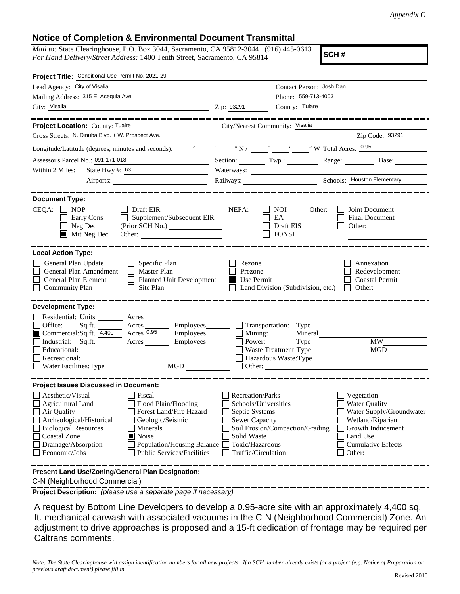## **Notice of Completion & Environmental Document Transmittal**

*Mail to:* State Clearinghouse, P.O. Box 3044, Sacramento, CA 95812-3044 (916) 445-0613 *For Hand Delivery/Street Address:* 1400 Tenth Street, Sacramento, CA 95814

**SCH #**

| Project Title: Conditional Use Permit No. 2021-29                                                                                                                                                                                                                                                                                                                                                       |                                                                                                                                                     |                                                                                                    |                                                                                                                                                     |
|---------------------------------------------------------------------------------------------------------------------------------------------------------------------------------------------------------------------------------------------------------------------------------------------------------------------------------------------------------------------------------------------------------|-----------------------------------------------------------------------------------------------------------------------------------------------------|----------------------------------------------------------------------------------------------------|-----------------------------------------------------------------------------------------------------------------------------------------------------|
| Lead Agency: City of Visalia                                                                                                                                                                                                                                                                                                                                                                            |                                                                                                                                                     | Contact Person: Josh Dan                                                                           |                                                                                                                                                     |
| Mailing Address: 315 E. Acequia Ave.                                                                                                                                                                                                                                                                                                                                                                    | Phone: 559-713-4003                                                                                                                                 |                                                                                                    |                                                                                                                                                     |
| City: Visalia<br><u> 1989 - Johann Stoff, amerikansk politiker (d. 1989)</u>                                                                                                                                                                                                                                                                                                                            | Zip: 93291                                                                                                                                          | County: Tulare                                                                                     |                                                                                                                                                     |
|                                                                                                                                                                                                                                                                                                                                                                                                         |                                                                                                                                                     |                                                                                                    |                                                                                                                                                     |
| Project Location: County: Tualre<br>City/Nearest Community: Visalia                                                                                                                                                                                                                                                                                                                                     |                                                                                                                                                     |                                                                                                    |                                                                                                                                                     |
| Cross Streets: N. Dinuba Blvd. + W. Prospect Ave.                                                                                                                                                                                                                                                                                                                                                       |                                                                                                                                                     |                                                                                                    | Zip Code: 93291                                                                                                                                     |
|                                                                                                                                                                                                                                                                                                                                                                                                         |                                                                                                                                                     |                                                                                                    |                                                                                                                                                     |
| Assessor's Parcel No.: 091-171-018                                                                                                                                                                                                                                                                                                                                                                      | Section: $\begin{array}{c} \n\text{Two.} \\ \end{array}$                                                                                            |                                                                                                    | Range: Base:                                                                                                                                        |
| State Hwy #: $63$<br>Within 2 Miles:                                                                                                                                                                                                                                                                                                                                                                    |                                                                                                                                                     |                                                                                                    |                                                                                                                                                     |
|                                                                                                                                                                                                                                                                                                                                                                                                         |                                                                                                                                                     |                                                                                                    |                                                                                                                                                     |
| <b>Document Type:</b><br>$CEQA: \Box NP$<br>$\Box$ Draft EIR<br>Supplement/Subsequent EIR<br>Early Cons<br>$\Box$ Neg Dec<br>$\blacksquare$ Mit Neg Dec<br>Other:                                                                                                                                                                                                                                       | NEPA:                                                                                                                                               | NOI.<br>Other:<br>EA<br>Draft EIS<br><b>FONSI</b>                                                  | Joint Document<br><b>Final Document</b><br>Other:                                                                                                   |
| <b>Local Action Type:</b><br>General Plan Update<br>$\Box$ Specific Plan<br>General Plan Amendment<br>$\Box$ Master Plan<br>General Plan Element<br>Planned Unit Development<br>Community Plan<br>Site Plan                                                                                                                                                                                             | Rezone<br>Prezone<br>Use Permit                                                                                                                     | Land Division (Subdivision, etc.)                                                                  | Annexation<br>Redevelopment<br><b>Coastal Permit</b><br>$\Box$ Other:                                                                               |
| <b>Development Type:</b><br>Residential: Units Acres<br>Office:<br>Sq.ft. Acres<br>Commercial:Sq.ft. $4,400$ Acres $\overline{0.95}$<br>Industrial: Sq.ft. ________ Acres _________ Employees _______ $\Box$<br>Educational:<br>Recreational:<br>MGD                                                                                                                                                    | $\Box$ Employees $\Box$ Mining:<br>Power:                                                                                                           | Employees <u>Same Employees</u> Transportation: Type<br>Mineral<br>Waste Treatment: Type<br>Other: | <b>MW</b><br><b>MGD</b><br>Hazardous Waste: Type                                                                                                    |
| <b>Project Issues Discussed in Document:</b><br>Aesthetic/Visual<br>Fiscal<br>Agricultural Land<br>Flood Plain/Flooding<br>Forest Land/Fire Hazard<br>Air Quality<br>Archeological/Historical<br>Geologic/Seismic<br><b>Biological Resources</b><br>Minerals<br><b>Coastal Zone</b><br>Noise<br>Drainage/Absorption<br>Population/Housing Balance<br>Economic/Jobs<br><b>Public Services/Facilities</b> | <b>Recreation/Parks</b><br>Schools/Universities<br>Septic Systems<br><b>Sewer Capacity</b><br>Solid Waste<br>Toxic/Hazardous<br>Traffic/Circulation | Soil Erosion/Compaction/Grading                                                                    | Vegetation<br>Water Quality<br>Water Supply/Groundwater<br>Wetland/Riparian<br>Growth Inducement<br>Land Use<br><b>Cumulative Effects</b><br>Other: |
| Present Land Use/Zoning/General Plan Designation:                                                                                                                                                                                                                                                                                                                                                       |                                                                                                                                                     |                                                                                                    |                                                                                                                                                     |

C-N (Neighborhood Commercial)

**Project Description:** *(please use a separate page if necessary)*

 A request by Bottom Line Developers to develop a 0.95-acre site with an approximately 4,400 sq. ft. mechanical carwash with associated vacuums in the C-N (Neighborhood Commercial) Zone. An adjustment to drive approaches is proposed and a 15-ft dedication of frontage may be required per Caltrans comments.

*Note: The State Clearinghouse will assign identification numbers for all new projects. If a SCH number already exists for a project (e.g. Notice of Preparation or previous draft document) please fill in.*